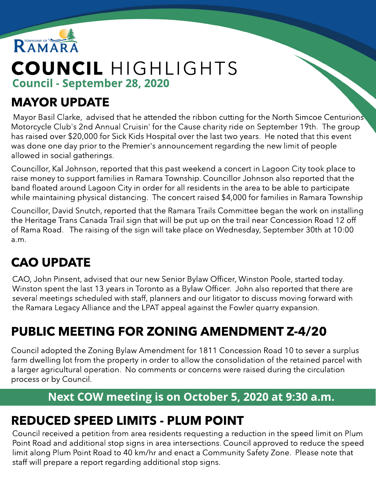

# COUNCIL HIGHLIGHTS Council - September 28, 2020

### MAYOR UPDATE

Mayor Basil Clarke, advised that he attended the ribbon cutting for the North Simcoe Centurions Motorcycle Club's 2nd Annual Cruisin' for the Cause charity ride on September 19th. The group has raised over \$20,000 for Sick Kids Hospital over the last two years. He noted that this event was done one day prior to the Premier's announcement regarding the new limit of people allowed in social gatherings.

Councillor, Kal Johnson, reported that this past weekend a concert in Lagoon City took place to raise money to support families in Ramara Township. Councillor Johnson also reported that the band floated around Lagoon City in order for all residents in the area to be able to participate while maintaining physical distancing. The concert raised \$4,000 for families in Ramara Township

Councillor, David Snutch, reported that the Ramara Trails Committee began the work on installing the Heritage Trans Canada Trail sign that will be put up on the trail near Concession Road 12 off of Rama Road. The raising of the sign will take place on Wednesday, September 30th at 10:00 a.m.

# CAO UPDATE

CAO, John Pinsent, advised that our new Senior Bylaw Officer, Winston Poole, started today. Winston spent the last 13 years in Toronto as a Bylaw Officer. John also reported that there are several meetings scheduled with staff, planners and our litigator to discuss moving forward with the Ramara Legacy Alliance and the LPAT appeal against the Fowler quarry expansion.

# PUBLIC MEETING FOR ZONING AMENDMENT Z-4/20

Council adopted the Zoning Bylaw Amendment for 1811 Concession Road 10 to sever a surplus farm dwelling lot from the property in order to allow the consolidation of the retained parcel with a larger agricultural operation. No comments or concerns were raised during the circulation process or by Council.

#### Next COW meeting is on October 5, 2020 at 9:30 a.m.

### REDUCED SPEED LIMITS - PLUM POINT

Council received a petition from area residents requesting a reduction in the speed limit on Plum Point Road and additional stop signs in area intersections. Council approved to reduce the speed limit along Plum Point Road to 40 km/hr and enact a Community Safety Zone. Please note that staff will prepare a report regarding additional stop signs.